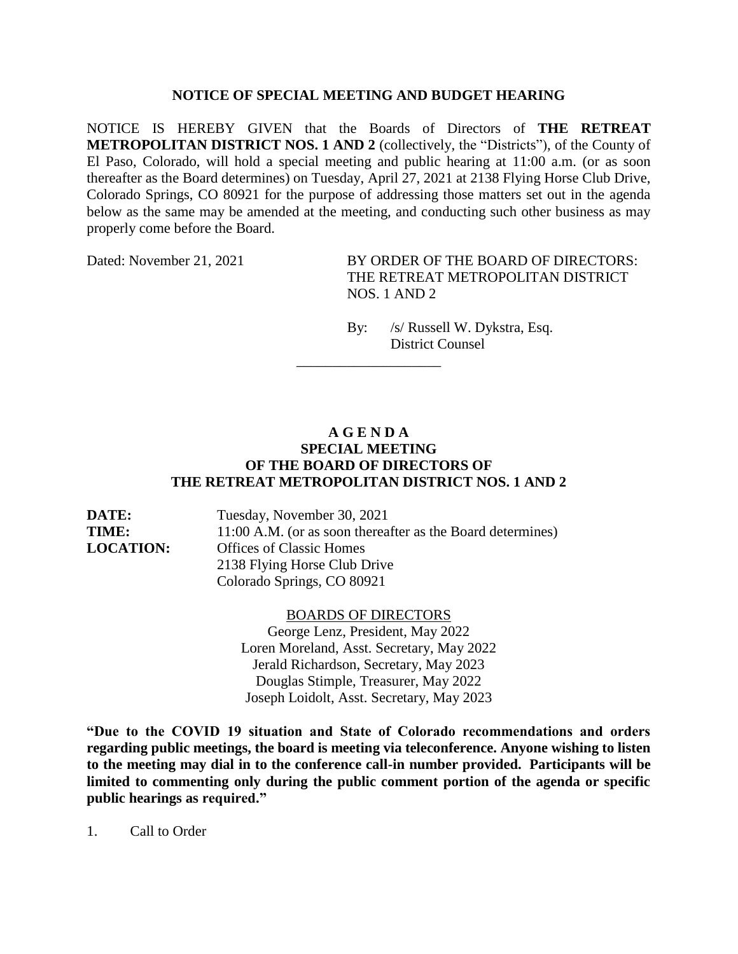## **NOTICE OF SPECIAL MEETING AND BUDGET HEARING**

NOTICE IS HEREBY GIVEN that the Boards of Directors of **THE RETREAT METROPOLITAN DISTRICT NOS. 1 AND 2** (collectively, the "Districts"), of the County of El Paso, Colorado, will hold a special meeting and public hearing at 11:00 a.m. (or as soon thereafter as the Board determines) on Tuesday, April 27, 2021 at 2138 Flying Horse Club Drive, Colorado Springs, CO 80921 for the purpose of addressing those matters set out in the agenda below as the same may be amended at the meeting, and conducting such other business as may properly come before the Board.

Dated: November 21, 2021 BY ORDER OF THE BOARD OF DIRECTORS: THE RETREAT METROPOLITAN DISTRICT NOS. 1 AND 2

> By: /s/ Russell W. Dykstra, Esq. District Counsel

## **A G E N D A SPECIAL MEETING OF THE BOARD OF DIRECTORS OF THE RETREAT METROPOLITAN DISTRICT NOS. 1 AND 2**

\_\_\_\_\_\_\_\_\_\_\_\_\_\_\_\_\_\_\_\_

**DATE:** Tuesday, November 30, 2021 **TIME:** 11:00 A.M. (or as soon thereafter as the Board determines) **LOCATION:** Offices of Classic Homes 2138 Flying Horse Club Drive Colorado Springs, CO 80921

## BOARDS OF DIRECTORS

George Lenz, President, May 2022 Loren Moreland, Asst. Secretary, May 2022 Jerald Richardson, Secretary, May 2023 Douglas Stimple, Treasurer, May 2022 Joseph Loidolt, Asst. Secretary, May 2023

**"Due to the COVID 19 situation and State of Colorado recommendations and orders regarding public meetings, the board is meeting via teleconference. Anyone wishing to listen to the meeting may dial in to the conference call-in number provided. Participants will be limited to commenting only during the public comment portion of the agenda or specific public hearings as required."**

1. Call to Order